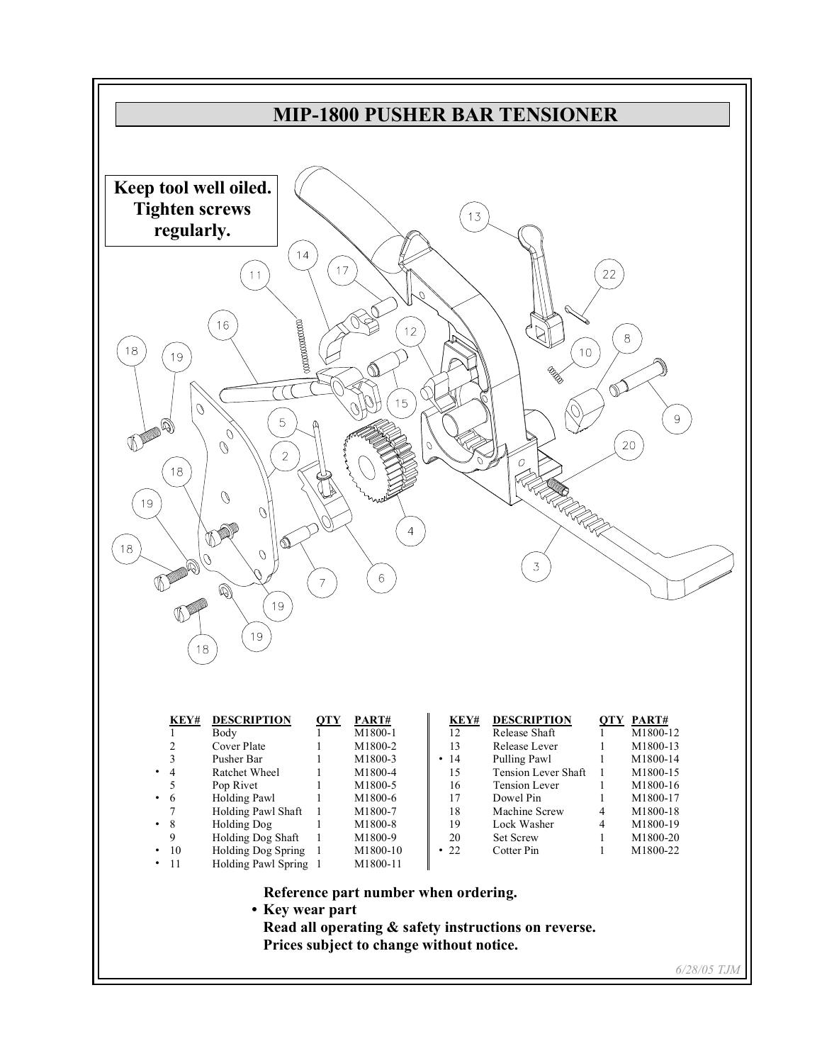